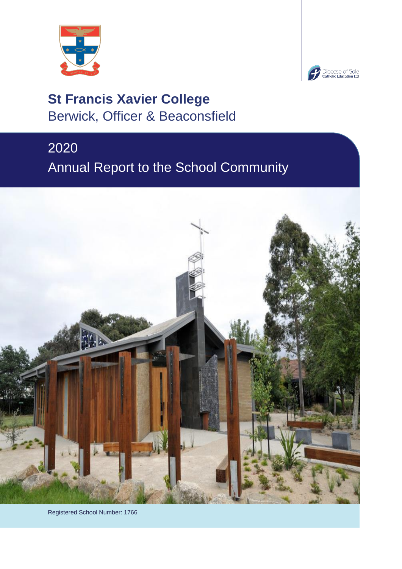



# **St Francis Xavier College** Berwick, Officer & Beaconsfield

# 2020 Annual Report to the School Community



Registered School Number: 1766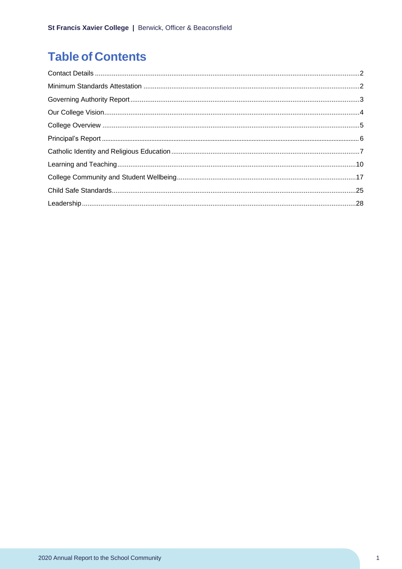## **Table of Contents**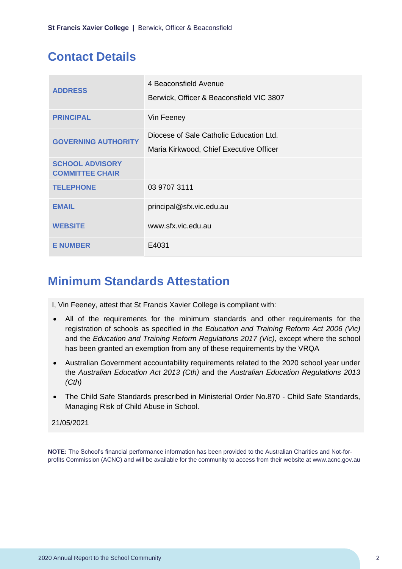## <span id="page-2-0"></span>**Contact Details**

| <b>ADDRESS</b>                                   | 4 Beaconsfield Avenue<br>Berwick, Officer & Beaconsfield VIC 3807 |
|--------------------------------------------------|-------------------------------------------------------------------|
| <b>PRINCIPAL</b>                                 | Vin Feeney                                                        |
| <b>GOVERNING AUTHORITY</b>                       | Diocese of Sale Catholic Education Ltd.                           |
|                                                  | Maria Kirkwood, Chief Executive Officer                           |
| <b>SCHOOL ADVISORY</b><br><b>COMMITTEE CHAIR</b> |                                                                   |
| <b>TELEPHONE</b>                                 | 03 9707 3111                                                      |
| <b>EMAIL</b>                                     | principal@sfx.vic.edu.au                                          |
| <b>WEBSITE</b>                                   | www.sfx.vic.edu.au                                                |
| <b>E NUMBER</b>                                  | E4031                                                             |

## <span id="page-2-1"></span>**Minimum Standards Attestation**

I, Vin Feeney, attest that St Francis Xavier College is compliant with:

- All of the requirements for the minimum standards and other requirements for the registration of schools as specified in *the Education and Training Reform Act 2006 (Vic)* and the *Education and Training Reform Regulations 2017 (Vic)*, except where the school has been granted an exemption from any of these requirements by the VRQA
- Australian Government accountability requirements related to the 2020 school year under the *Australian Education Act 2013 (Cth)* and the *Australian Education Regulations 2013 (Cth)*
- The Child Safe Standards prescribed in Ministerial Order No.870 Child Safe Standards, Managing Risk of Child Abuse in School.

#### 21/05/2021

**NOTE:** The School's financial performance information has been provided to the Australian Charities and Not-forprofits Commission (ACNC) and will be available for the community to access from their website at [www.acnc.gov.au](http://www.acnc.gov.au/)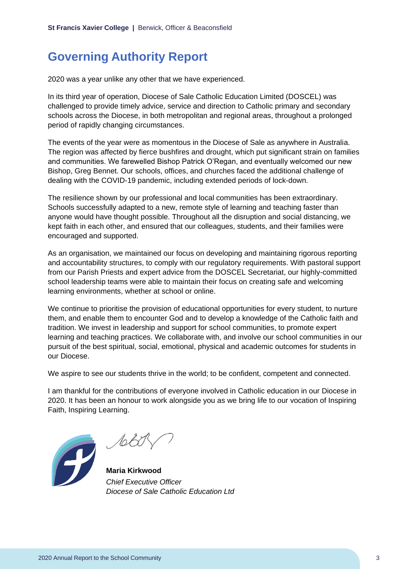## <span id="page-3-0"></span>**Governing Authority Report**

2020 was a year unlike any other that we have experienced.

In its third year of operation, Diocese of Sale Catholic Education Limited (DOSCEL) was challenged to provide timely advice, service and direction to Catholic primary and secondary schools across the Diocese, in both metropolitan and regional areas, throughout a prolonged period of rapidly changing circumstances.

The events of the year were as momentous in the Diocese of Sale as anywhere in Australia. The region was affected by fierce bushfires and drought, which put significant strain on families and communities. We farewelled Bishop Patrick O'Regan, and eventually welcomed our new Bishop, Greg Bennet. Our schools, offices, and churches faced the additional challenge of dealing with the COVID-19 pandemic, including extended periods of lock-down.

The resilience shown by our professional and local communities has been extraordinary. Schools successfully adapted to a new, remote style of learning and teaching faster than anyone would have thought possible. Throughout all the disruption and social distancing, we kept faith in each other, and ensured that our colleagues, students, and their families were encouraged and supported.

As an organisation, we maintained our focus on developing and maintaining rigorous reporting and accountability structures, to comply with our regulatory requirements. With pastoral support from our Parish Priests and expert advice from the DOSCEL Secretariat, our highly-committed school leadership teams were able to maintain their focus on creating safe and welcoming learning environments, whether at school or online.

We continue to prioritise the provision of educational opportunities for every student, to nurture them, and enable them to encounter God and to develop a knowledge of the Catholic faith and tradition. We invest in leadership and support for school communities, to promote expert learning and teaching practices. We collaborate with, and involve our school communities in our pursuit of the best spiritual, social, emotional, physical and academic outcomes for students in our Diocese.

We aspire to see our students thrive in the world; to be confident, competent and connected.

I am thankful for the contributions of everyone involved in Catholic education in our Diocese in 2020. It has been an honour to work alongside you as we bring life to our vocation of Inspiring Faith, Inspiring Learning.



sold

**Maria Kirkwood** *Chief Executive Officer Diocese of Sale Catholic Education Ltd*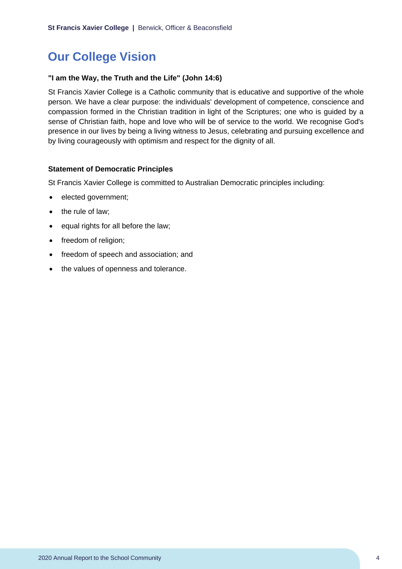## <span id="page-4-0"></span>**Our College Vision**

## **"I am the Way, the Truth and the Life" (John 14:6)**

St Francis Xavier College is a Catholic community that is educative and supportive of the whole person. We have a clear purpose: the individuals' development of competence, conscience and compassion formed in the Christian tradition in light of the Scriptures; one who is guided by a sense of Christian faith, hope and love who will be of service to the world. We recognise God's presence in our lives by being a living witness to Jesus, celebrating and pursuing excellence and by living courageously with optimism and respect for the dignity of all.

#### **Statement of Democratic Principles**

St Francis Xavier College is committed to Australian Democratic principles including:

- elected government;
- the rule of law;
- equal rights for all before the law;
- freedom of religion;
- freedom of speech and association; and
- the values of openness and tolerance.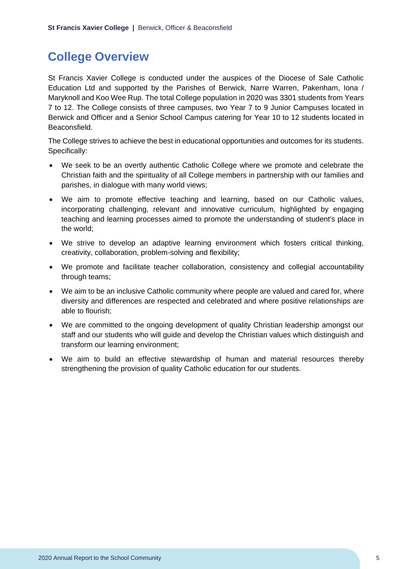## <span id="page-5-0"></span>**College Overview**

St Francis Xavier College is conducted under the auspices of the Diocese of Sale Catholic Education Ltd and supported by the Parishes of Berwick, Narre Warren, Pakenham, Iona / Maryknoll and Koo Wee Rup. The total College population in 2020 was 3301 students from Years 7 to 12. The College consists of three campuses, two Year 7 to 9 Junior Campuses located in Berwick and Officer and a Senior School Campus catering for Year 10 to 12 students located in Beaconsfield.

The College strives to achieve the best in educational opportunities and outcomes for its students. Specifically:

- We seek to be an overtly authentic Catholic College where we promote and celebrate the Christian faith and the spirituality of all College members in partnership with our families and parishes, in dialogue with many world views;
- We aim to promote effective teaching and learning, based on our Catholic values, incorporating challenging, relevant and innovative curriculum, highlighted by engaging teaching and learning processes aimed to promote the understanding of student's place in the world;
- We strive to develop an adaptive learning environment which fosters critical thinking, creativity, collaboration, problem-solving and flexibility;
- We promote and facilitate teacher collaboration, consistency and collegial accountability through teams;
- We aim to be an inclusive Catholic community where people are valued and cared for, where diversity and differences are respected and celebrated and where positive relationships are able to flourish;
- We are committed to the ongoing development of quality Christian leadership amongst our staff and our students who will guide and develop the Christian values which distinguish and transform our learning environment;
- We aim to build an effective stewardship of human and material resources thereby strengthening the provision of quality Catholic education for our students.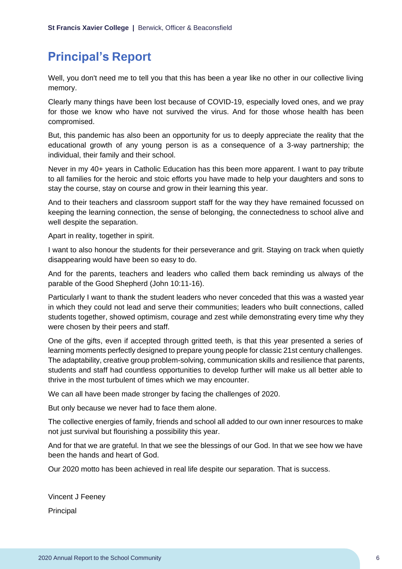## <span id="page-6-0"></span>**Principal's Report**

Well, you don't need me to tell you that this has been a year like no other in our collective living memory.

Clearly many things have been lost because of COVID-19, especially loved ones, and we pray for those we know who have not survived the virus. And for those whose health has been compromised.

But, this pandemic has also been an opportunity for us to deeply appreciate the reality that the educational growth of any young person is as a consequence of a 3-way partnership; the individual, their family and their school.

Never in my 40+ years in Catholic Education has this been more apparent. I want to pay tribute to all families for the heroic and stoic efforts you have made to help your daughters and sons to stay the course, stay on course and grow in their learning this year.

And to their teachers and classroom support staff for the way they have remained focussed on keeping the learning connection, the sense of belonging, the connectedness to school alive and well despite the separation.

Apart in reality, together in spirit.

I want to also honour the students for their perseverance and grit. Staying on track when quietly disappearing would have been so easy to do.

And for the parents, teachers and leaders who called them back reminding us always of the parable of the Good Shepherd (John 10:11-16).

Particularly I want to thank the student leaders who never conceded that this was a wasted year in which they could not lead and serve their communities; leaders who built connections, called students together, showed optimism, courage and zest while demonstrating every time why they were chosen by their peers and staff.

One of the gifts, even if accepted through gritted teeth, is that this year presented a series of learning moments perfectly designed to prepare young people for classic 21st century challenges. The adaptability, creative group problem-solving, communication skills and resilience that parents, students and staff had countless opportunities to develop further will make us all better able to thrive in the most turbulent of times which we may encounter.

We can all have been made stronger by facing the challenges of 2020.

But only because we never had to face them alone.

The collective energies of family, friends and school all added to our own inner resources to make not just survival but flourishing a possibility this year.

And for that we are grateful. In that we see the blessings of our God. In that we see how we have been the hands and heart of God.

Our 2020 motto has been achieved in real life despite our separation. That is success.

Vincent J Feeney Principal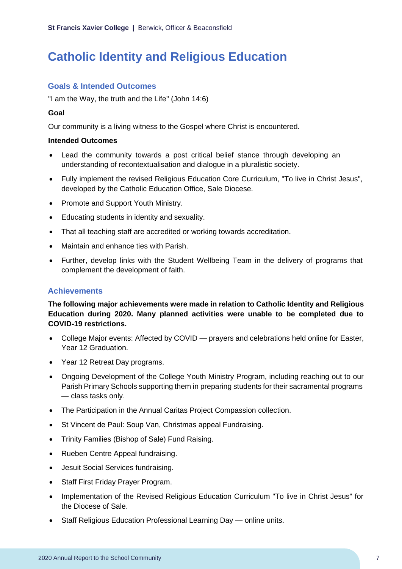## <span id="page-7-0"></span>**Catholic Identity and Religious Education**

## **Goals & Intended Outcomes**

"I am the Way, the truth and the Life" (John 14:6)

## **Goal**

Our community is a living witness to the Gospel where Christ is encountered.

## **Intended Outcomes**

- Lead the community towards a post critical belief stance through developing an understanding of recontextualisation and dialogue in a pluralistic society.
- Fully implement the revised Religious Education Core Curriculum, "To live in Christ Jesus", developed by the Catholic Education Office, Sale Diocese.
- Promote and Support Youth Ministry.
- Educating students in identity and sexuality.
- That all teaching staff are accredited or working towards accreditation.
- Maintain and enhance ties with Parish.
- Further, develop links with the Student Wellbeing Team in the delivery of programs that complement the development of faith.

## **Achievements**

**The following major achievements were made in relation to Catholic Identity and Religious Education during 2020. Many planned activities were unable to be completed due to COVID-19 restrictions.**

- College Major events: Affected by COVID prayers and celebrations held online for Easter, Year 12 Graduation.
- Year 12 Retreat Day programs.
- Ongoing Development of the College Youth Ministry Program, including reaching out to our Parish Primary Schools supporting them in preparing students for their sacramental programs — class tasks only.
- The Participation in the Annual Caritas Project Compassion collection.
- St Vincent de Paul: Soup Van, Christmas appeal Fundraising.
- Trinity Families (Bishop of Sale) Fund Raising.
- Rueben Centre Appeal fundraising.
- Jesuit Social Services fundraising.
- Staff First Friday Prayer Program.
- Implementation of the Revised Religious Education Curriculum "To live in Christ Jesus" for the Diocese of Sale.
- Staff Religious Education Professional Learning Day online units.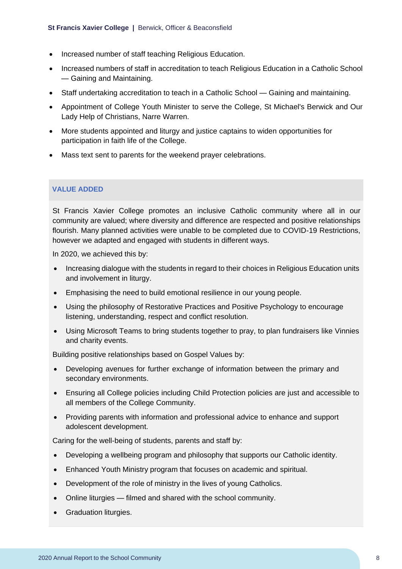- Increased number of staff teaching Religious Education.
- Increased numbers of staff in accreditation to teach Religious Education in a Catholic School — Gaining and Maintaining.
- Staff undertaking accreditation to teach in a Catholic School Gaining and maintaining.
- Appointment of College Youth Minister to serve the College, St Michael's Berwick and Our Lady Help of Christians, Narre Warren.
- More students appointed and liturgy and justice captains to widen opportunities for participation in faith life of the College.
- Mass text sent to parents for the weekend prayer celebrations.

#### **VALUE ADDED**

St Francis Xavier College promotes an inclusive Catholic community where all in our community are valued; where diversity and difference are respected and positive relationships flourish. Many planned activities were unable to be completed due to COVID-19 Restrictions, however we adapted and engaged with students in different ways.

In 2020, we achieved this by:

- Increasing dialogue with the students in regard to their choices in Religious Education units and involvement in liturgy.
- Emphasising the need to build emotional resilience in our young people.
- Using the philosophy of Restorative Practices and Positive Psychology to encourage listening, understanding, respect and conflict resolution.
- Using Microsoft Teams to bring students together to pray, to plan fundraisers like Vinnies and charity events.

Building positive relationships based on Gospel Values by:

- Developing avenues for further exchange of information between the primary and secondary environments.
- Ensuring all College policies including Child Protection policies are just and accessible to all members of the College Community.
- Providing parents with information and professional advice to enhance and support adolescent development.

Caring for the well-being of students, parents and staff by:

- Developing a wellbeing program and philosophy that supports our Catholic identity.
- Enhanced Youth Ministry program that focuses on academic and spiritual.
- Development of the role of ministry in the lives of young Catholics.
- Online liturgies filmed and shared with the school community.
- Graduation liturgies.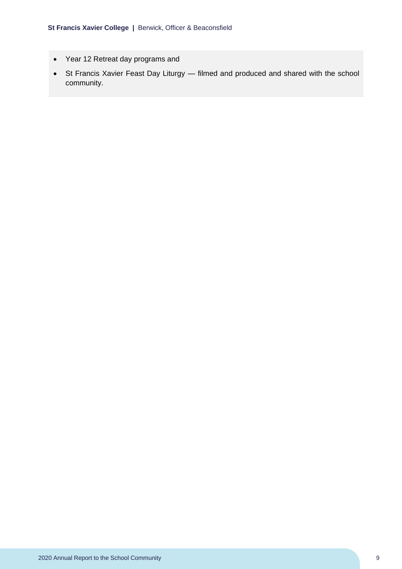- Year 12 Retreat day programs and
- St Francis Xavier Feast Day Liturgy filmed and produced and shared with the school community.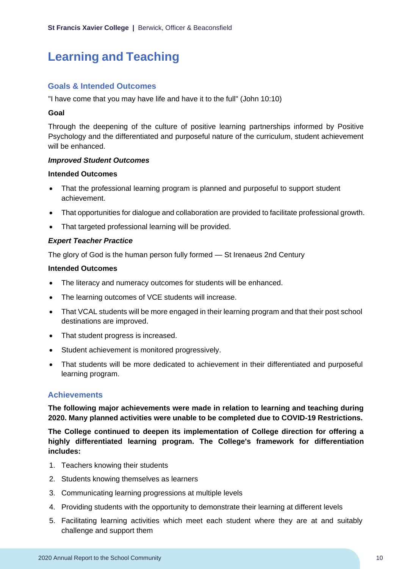## <span id="page-10-0"></span>**Learning and Teaching**

## **Goals & Intended Outcomes**

"I have come that you may have life and have it to the full" (John 10:10)

#### **Goal**

Through the deepening of the culture of positive learning partnerships informed by Positive Psychology and the differentiated and purposeful nature of the curriculum, student achievement will be enhanced.

#### *Improved Student Outcomes*

#### **Intended Outcomes**

- That the professional learning program is planned and purposeful to support student achievement.
- That opportunities for dialogue and collaboration are provided to facilitate professional growth.
- That targeted professional learning will be provided.

#### *Expert Teacher Practice*

The glory of God is the human person fully formed — St Irenaeus 2nd Century

#### **Intended Outcomes**

- The literacy and numeracy outcomes for students will be enhanced.
- The learning outcomes of VCE students will increase.
- That VCAL students will be more engaged in their learning program and that their post school destinations are improved.
- That student progress is increased.
- Student achievement is monitored progressively.
- That students will be more dedicated to achievement in their differentiated and purposeful learning program.

## **Achievements**

**The following major achievements were made in relation to learning and teaching during 2020. Many planned activities were unable to be completed due to COVID-19 Restrictions.**

**The College continued to deepen its implementation of College direction for offering a highly differentiated learning program. The College's framework for differentiation includes:**

- 1. Teachers knowing their students
- 2. Students knowing themselves as learners
- 3. Communicating learning progressions at multiple levels
- 4. Providing students with the opportunity to demonstrate their learning at different levels
- 5. Facilitating learning activities which meet each student where they are at and suitably challenge and support them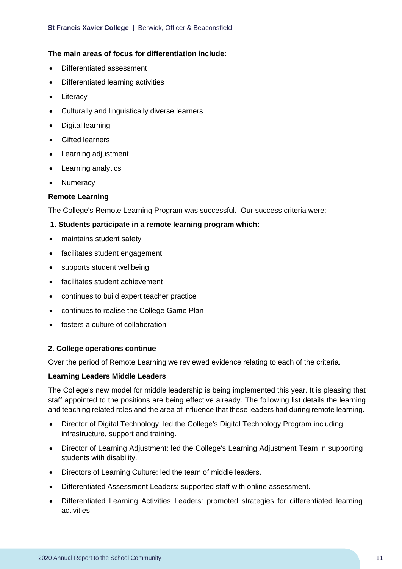### **The main areas of focus for differentiation include:**

- Differentiated assessment
- Differentiated learning activities
- Literacy
- Culturally and linguistically diverse learners
- Digital learning
- Gifted learners
- Learning adjustment
- Learning analytics
- Numeracy

#### **Remote Learning**

The College's Remote Learning Program was successful. Our success criteria were:

- **1. Students participate in a remote learning program which:**
- maintains student safety
- facilitates student engagement
- supports student wellbeing
- facilitates student achievement
- continues to build expert teacher practice
- continues to realise the College Game Plan
- fosters a culture of collaboration

#### **2. College operations continue**

Over the period of Remote Learning we reviewed evidence relating to each of the criteria.

#### **Learning Leaders Middle Leaders**

The College's new model for middle leadership is being implemented this year. It is pleasing that staff appointed to the positions are being effective already. The following list details the learning and teaching related roles and the area of influence that these leaders had during remote learning.

- Director of Digital Technology: led the College's Digital Technology Program including infrastructure, support and training.
- Director of Learning Adjustment: led the College's Learning Adjustment Team in supporting students with disability.
- Directors of Learning Culture: led the team of middle leaders.
- Differentiated Assessment Leaders: supported staff with online assessment.
- Differentiated Learning Activities Leaders: promoted strategies for differentiated learning activities.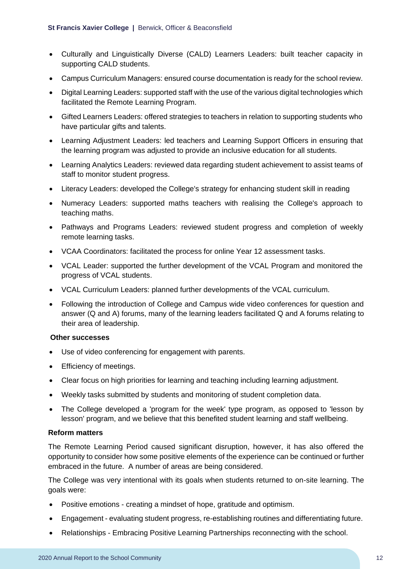- Culturally and Linguistically Diverse (CALD) Learners Leaders: built teacher capacity in supporting CALD students.
- Campus Curriculum Managers: ensured course documentation is ready for the school review.
- Digital Learning Leaders: supported staff with the use of the various digital technologies which facilitated the Remote Learning Program.
- Gifted Learners Leaders: offered strategies to teachers in relation to supporting students who have particular gifts and talents.
- Learning Adjustment Leaders: led teachers and Learning Support Officers in ensuring that the learning program was adjusted to provide an inclusive education for all students.
- Learning Analytics Leaders: reviewed data regarding student achievement to assist teams of staff to monitor student progress.
- Literacy Leaders: developed the College's strategy for enhancing student skill in reading
- Numeracy Leaders: supported maths teachers with realising the College's approach to teaching maths.
- Pathways and Programs Leaders: reviewed student progress and completion of weekly remote learning tasks.
- VCAA Coordinators: facilitated the process for online Year 12 assessment tasks.
- VCAL Leader: supported the further development of the VCAL Program and monitored the progress of VCAL students.
- VCAL Curriculum Leaders: planned further developments of the VCAL curriculum.
- Following the introduction of College and Campus wide video conferences for question and answer (Q and A) forums, many of the learning leaders facilitated Q and A forums relating to their area of leadership.

## **Other successes**

- Use of video conferencing for engagement with parents.
- Efficiency of meetings.
- Clear focus on high priorities for learning and teaching including learning adjustment.
- Weekly tasks submitted by students and monitoring of student completion data.
- The College developed a 'program for the week' type program, as opposed to 'lesson by lesson' program, and we believe that this benefited student learning and staff wellbeing.

## **Reform matters**

The Remote Learning Period caused significant disruption, however, it has also offered the opportunity to consider how some positive elements of the experience can be continued or further embraced in the future. A number of areas are being considered.

The College was very intentional with its goals when students returned to on-site learning. The goals were:

- Positive emotions creating a mindset of hope, gratitude and optimism.
- Engagement evaluating student progress, re-establishing routines and differentiating future.
- Relationships Embracing Positive Learning Partnerships reconnecting with the school.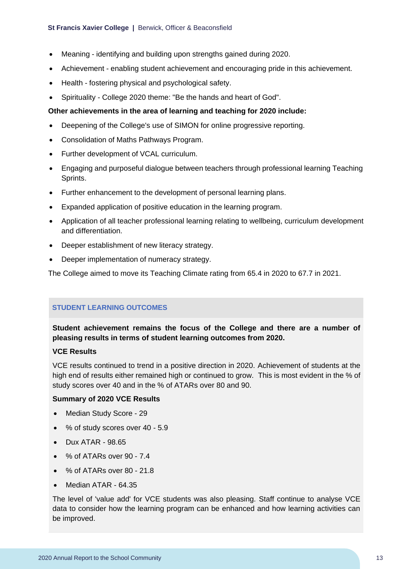- Meaning identifying and building upon strengths gained during 2020.
- Achievement enabling student achievement and encouraging pride in this achievement.
- Health fostering physical and psychological safety.
- Spirituality College 2020 theme: "Be the hands and heart of God".

#### **Other achievements in the area of learning and teaching for 2020 include:**

- Deepening of the College's use of SIMON for online progressive reporting.
- Consolidation of Maths Pathways Program.
- Further development of VCAL curriculum.
- Engaging and purposeful dialogue between teachers through professional learning Teaching Sprints.
- Further enhancement to the development of personal learning plans.
- Expanded application of positive education in the learning program.
- Application of all teacher professional learning relating to wellbeing, curriculum development and differentiation.
- Deeper establishment of new literacy strategy.
- Deeper implementation of numeracy strategy.

The College aimed to move its Teaching Climate rating from 65.4 in 2020 to 67.7 in 2021.

## **STUDENT LEARNING OUTCOMES**

**Student achievement remains the focus of the College and there are a number of pleasing results in terms of student learning outcomes from 2020.**

## **VCE Results**

VCE results continued to trend in a positive direction in 2020. Achievement of students at the high end of results either remained high or continued to grow. This is most evident in the % of study scores over 40 and in the % of ATARs over 80 and 90.

#### **Summary of 2020 VCE Results**

- Median Study Score 29
- % of study scores over 40 5.9
- Dux ATAR 98.65
- % of ATARs over 90 7.4
- $\bullet$  % of ATARs over 80 21.8
- Median ATAR 64.35

The level of 'value add' for VCE students was also pleasing. Staff continue to analyse VCE data to consider how the learning program can be enhanced and how learning activities can be improved.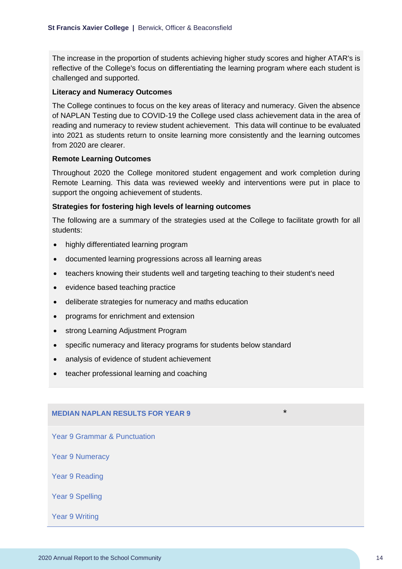The increase in the proportion of students achieving higher study scores and higher ATAR's is reflective of the College's focus on differentiating the learning program where each student is challenged and supported.

#### **Literacy and Numeracy Outcomes**

The College continues to focus on the key areas of literacy and numeracy. Given the absence of NAPLAN Testing due to COVID-19 the College used class achievement data in the area of reading and numeracy to review student achievement. This data will continue to be evaluated into 2021 as students return to onsite learning more consistently and the learning outcomes from 2020 are clearer.

#### **Remote Learning Outcomes**

Throughout 2020 the College monitored student engagement and work completion during Remote Learning. This data was reviewed weekly and interventions were put in place to support the ongoing achievement of students.

#### **Strategies for fostering high levels of learning outcomes**

The following are a summary of the strategies used at the College to facilitate growth for all students:

- highly differentiated learning program
- documented learning progressions across all learning areas
- teachers knowing their students well and targeting teaching to their student's need
- evidence based teaching practice
- deliberate strategies for numeracy and maths education
- programs for enrichment and extension
- strong Learning Adjustment Program
- specific numeracy and literacy programs for students below standard
- analysis of evidence of student achievement
- teacher professional learning and coaching

## **MEDIAN NAPLAN RESULTS FOR YEAR 9** \*

Year 9 Grammar & Punctuation

Year 9 Numeracy

Year 9 Reading

Year 9 Spelling

Year 9 Writing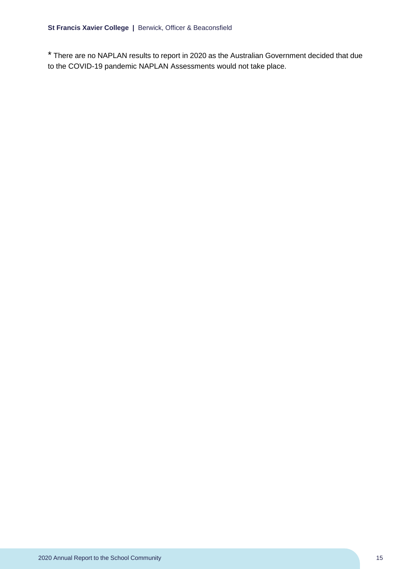\* There are no NAPLAN results to report in 2020 as the Australian Government decided that due to the COVID-19 pandemic NAPLAN Assessments would not take place.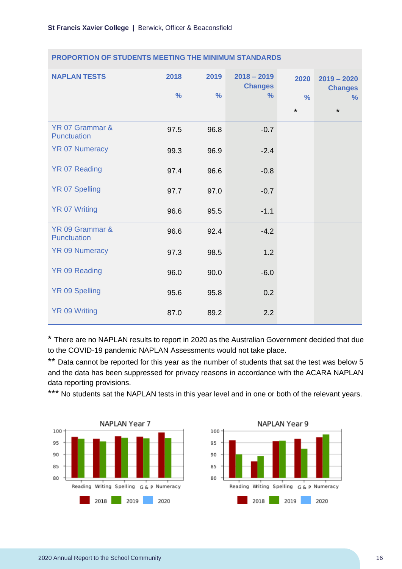| <b>NAPLAN TESTS</b>            | 2018<br>$\frac{9}{6}$ | 2019<br>$\frac{0}{0}$ | $2018 - 2019$<br><b>Changes</b><br>$\frac{9}{6}$ | 2020<br>$\frac{0}{0}$<br>$\star$ | $2019 - 2020$<br><b>Changes</b><br>$\%$<br>$\star$ |
|--------------------------------|-----------------------|-----------------------|--------------------------------------------------|----------------------------------|----------------------------------------------------|
| YR 07 Grammar &<br>Punctuation | 97.5                  | 96.8                  | $-0.7$                                           |                                  |                                                    |
| <b>YR 07 Numeracy</b>          | 99.3                  | 96.9                  | $-2.4$                                           |                                  |                                                    |
| <b>YR 07 Reading</b>           | 97.4                  | 96.6                  | $-0.8$                                           |                                  |                                                    |
| <b>YR 07 Spelling</b>          | 97.7                  | 97.0                  | $-0.7$                                           |                                  |                                                    |
| <b>YR 07 Writing</b>           | 96.6                  | 95.5                  | $-1.1$                                           |                                  |                                                    |
| YR 09 Grammar &<br>Punctuation | 96.6                  | 92.4                  | $-4.2$                                           |                                  |                                                    |
| <b>YR 09 Numeracy</b>          | 97.3                  | 98.5                  | 1.2                                              |                                  |                                                    |
| <b>YR 09 Reading</b>           | 96.0                  | 90.0                  | $-6.0$                                           |                                  |                                                    |
| YR 09 Spelling                 | 95.6                  | 95.8                  | 0.2                                              |                                  |                                                    |
| <b>YR 09 Writing</b>           | 87.0                  | 89.2                  | 2.2                                              |                                  |                                                    |

#### **PROPORTION OF STUDENTS MEETING THE MINIMUM STANDARDS**

\* There are no NAPLAN results to report in 2020 as the Australian Government decided that due to the COVID-19 pandemic NAPLAN Assessments would not take place.

\*\* Data cannot be reported for this year as the number of students that sat the test was below 5 and the data has been suppressed for privacy reasons in accordance with the ACARA NAPLAN data reporting provisions.

\*\*\* No students sat the NAPLAN tests in this year level and in one or both of the relevant years.



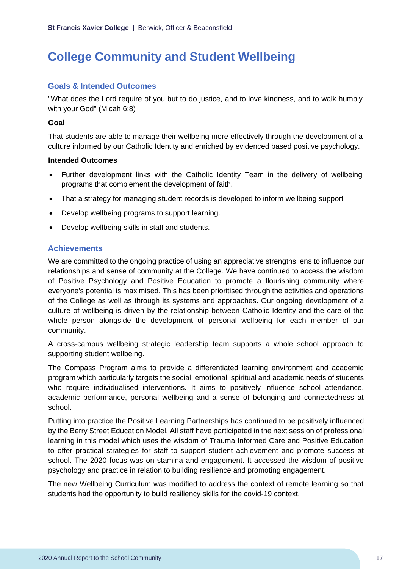## <span id="page-17-0"></span>**College Community and Student Wellbeing**

## **Goals & Intended Outcomes**

"What does the Lord require of you but to do justice, and to love kindness, and to walk humbly with your God" (Micah 6:8)

### **Goal**

That students are able to manage their wellbeing more effectively through the development of a culture informed by our Catholic Identity and enriched by evidenced based positive psychology.

### **Intended Outcomes**

- Further development links with the Catholic Identity Team in the delivery of wellbeing programs that complement the development of faith.
- That a strategy for managing student records is developed to inform wellbeing support
- Develop wellbeing programs to support learning.
- Develop wellbeing skills in staff and students.

## **Achievements**

We are committed to the ongoing practice of using an appreciative strengths lens to influence our relationships and sense of community at the College. We have continued to access the wisdom of Positive Psychology and Positive Education to promote a flourishing community where everyone's potential is maximised. This has been prioritised through the activities and operations of the College as well as through its systems and approaches. Our ongoing development of a culture of wellbeing is driven by the relationship between Catholic Identity and the care of the whole person alongside the development of personal wellbeing for each member of our community.

A cross-campus wellbeing strategic leadership team supports a whole school approach to supporting student wellbeing.

The Compass Program aims to provide a differentiated learning environment and academic program which particularly targets the social, emotional, spiritual and academic needs of students who require individualised interventions. It aims to positively influence school attendance, academic performance, personal wellbeing and a sense of belonging and connectedness at school.

Putting into practice the Positive Learning Partnerships has continued to be positively influenced by the Berry Street Education Model. All staff have participated in the next session of professional learning in this model which uses the wisdom of Trauma Informed Care and Positive Education to offer practical strategies for staff to support student achievement and promote success at school. The 2020 focus was on stamina and engagement. It accessed the wisdom of positive psychology and practice in relation to building resilience and promoting engagement.

The new Wellbeing Curriculum was modified to address the context of remote learning so that students had the opportunity to build resiliency skills for the covid-19 context.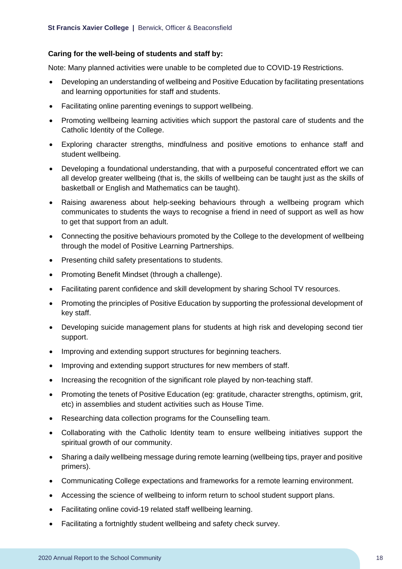## **Caring for the well-being of students and staff by:**

Note: Many planned activities were unable to be completed due to COVID-19 Restrictions.

- Developing an understanding of wellbeing and Positive Education by facilitating presentations and learning opportunities for staff and students.
- Facilitating online parenting evenings to support wellbeing.
- Promoting wellbeing learning activities which support the pastoral care of students and the Catholic Identity of the College.
- Exploring character strengths, mindfulness and positive emotions to enhance staff and student wellbeing.
- Developing a foundational understanding, that with a purposeful concentrated effort we can all develop greater wellbeing (that is, the skills of wellbeing can be taught just as the skills of basketball or English and Mathematics can be taught).
- Raising awareness about help-seeking behaviours through a wellbeing program which communicates to students the ways to recognise a friend in need of support as well as how to get that support from an adult.
- Connecting the positive behaviours promoted by the College to the development of wellbeing through the model of Positive Learning Partnerships.
- Presenting child safety presentations to students.
- Promoting Benefit Mindset (through a challenge).
- Facilitating parent confidence and skill development by sharing School TV resources.
- Promoting the principles of Positive Education by supporting the professional development of key staff.
- Developing suicide management plans for students at high risk and developing second tier support.
- Improving and extending support structures for beginning teachers.
- Improving and extending support structures for new members of staff.
- Increasing the recognition of the significant role played by non-teaching staff.
- Promoting the tenets of Positive Education (eg: gratitude, character strengths, optimism, grit, etc) in assemblies and student activities such as House Time.
- Researching data collection programs for the Counselling team.
- Collaborating with the Catholic Identity team to ensure wellbeing initiatives support the spiritual growth of our community.
- Sharing a daily wellbeing message during remote learning (wellbeing tips, prayer and positive primers).
- Communicating College expectations and frameworks for a remote learning environment.
- Accessing the science of wellbeing to inform return to school student support plans.
- Facilitating online covid-19 related staff wellbeing learning.
- Facilitating a fortnightly student wellbeing and safety check survey.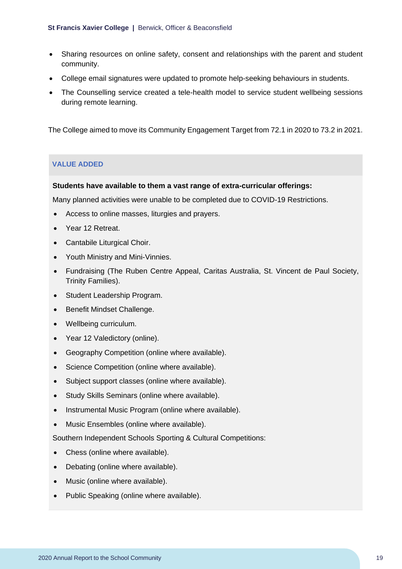- Sharing resources on online safety, consent and relationships with the parent and student community.
- College email signatures were updated to promote help-seeking behaviours in students.
- The Counselling service created a tele-health model to service student wellbeing sessions during remote learning.

The College aimed to move its Community Engagement Target from 72.1 in 2020 to 73.2 in 2021.

## **VALUE ADDED**

#### **Students have available to them a vast range of extra-curricular offerings:**

Many planned activities were unable to be completed due to COVID-19 Restrictions.

- Access to online masses, liturgies and prayers.
- Year 12 Retreat.
- Cantabile Liturgical Choir.
- Youth Ministry and Mini-Vinnies.
- Fundraising (The Ruben Centre Appeal, Caritas Australia, St. Vincent de Paul Society, Trinity Families).
- Student Leadership Program.
- Benefit Mindset Challenge.
- Wellbeing curriculum.
- Year 12 Valedictory (online).
- Geography Competition (online where available).
- Science Competition (online where available).
- Subject support classes (online where available).
- Study Skills Seminars (online where available).
- Instrumental Music Program (online where available).
- Music Ensembles (online where available).

Southern Independent Schools Sporting & Cultural Competitions:

- Chess (online where available).
- Debating (online where available).
- Music (online where available).
- Public Speaking (online where available).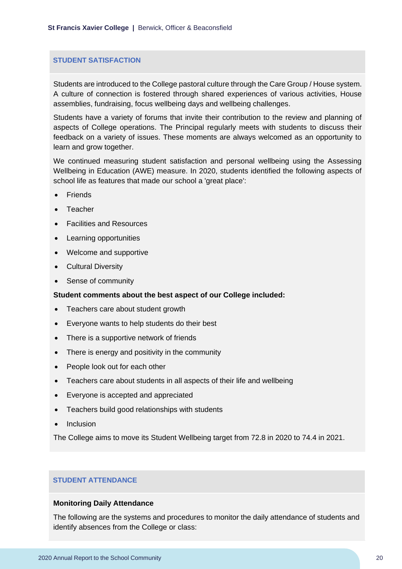#### **STUDENT SATISFACTION**

Students are introduced to the College pastoral culture through the Care Group / House system. A culture of connection is fostered through shared experiences of various activities, House assemblies, fundraising, focus wellbeing days and wellbeing challenges.

Students have a variety of forums that invite their contribution to the review and planning of aspects of College operations. The Principal regularly meets with students to discuss their feedback on a variety of issues. These moments are always welcomed as an opportunity to learn and grow together.

We continued measuring student satisfaction and personal wellbeing using the Assessing Wellbeing in Education (AWE) measure. In 2020, students identified the following aspects of school life as features that made our school a 'great place':

- Friends
- Teacher
- Facilities and Resources
- Learning opportunities
- Welcome and supportive
- Cultural Diversity
- Sense of community

#### **Student comments about the best aspect of our College included:**

- Teachers care about student growth
- Everyone wants to help students do their best
- There is a supportive network of friends
- There is energy and positivity in the community
- People look out for each other
- Teachers care about students in all aspects of their life and wellbeing
- Everyone is accepted and appreciated
- Teachers build good relationships with students
- Inclusion

The College aims to move its Student Wellbeing target from 72.8 in 2020 to 74.4 in 2021.

#### **STUDENT ATTENDANCE**

#### **Monitoring Daily Attendance**

The following are the systems and procedures to monitor the daily attendance of students and identify absences from the College or class: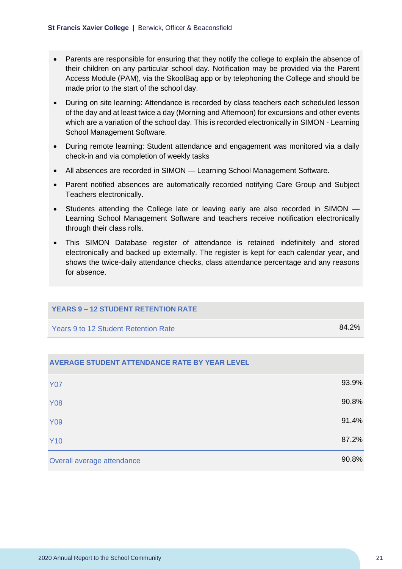- Parents are responsible for ensuring that they notify the college to explain the absence of their children on any particular school day. Notification may be provided via the Parent Access Module (PAM), via the SkoolBag app or by telephoning the College and should be made prior to the start of the school day.
- During on site learning: Attendance is recorded by class teachers each scheduled lesson of the day and at least twice a day (Morning and Afternoon) for excursions and other events which are a variation of the school day. This is recorded electronically in SIMON - Learning School Management Software.
- During remote learning: Student attendance and engagement was monitored via a daily check-in and via completion of weekly tasks
- All absences are recorded in SIMON Learning School Management Software.
- Parent notified absences are automatically recorded notifying Care Group and Subject Teachers electronically.
- Students attending the College late or leaving early are also recorded in SIMON Learning School Management Software and teachers receive notification electronically through their class rolls.
- This SIMON Database register of attendance is retained indefinitely and stored electronically and backed up externally. The register is kept for each calendar year, and shows the twice-daily attendance checks, class attendance percentage and any reasons for absence.

#### **YEARS 9 – 12 STUDENT RETENTION RATE**

Years 9 to 12 Student Retention Rate 84.2%

| Overall average attendance                           | 90.8% |
|------------------------------------------------------|-------|
| <b>Y10</b>                                           | 87.2% |
| <b>Y09</b>                                           | 91.4% |
| <b>Y08</b>                                           | 90.8% |
| <b>Y07</b>                                           | 93.9% |
| <b>AVERAGE STUDENT ATTENDANCE RATE BY YEAR LEVEL</b> |       |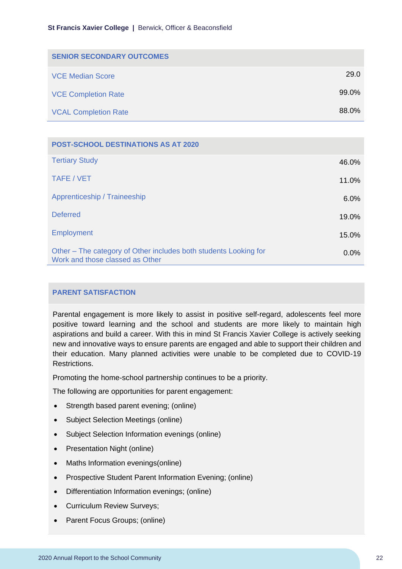| <b>SENIOR SECONDARY OUTCOMES</b> |       |
|----------------------------------|-------|
| <b>VCE Median Score</b>          | 29.0  |
| <b>VCE Completion Rate</b>       | 99.0% |
| <b>VCAL Completion Rate</b>      | 88.0% |

| <b>POST-SCHOOL DESTINATIONS AS AT 2020</b>                                                          |         |
|-----------------------------------------------------------------------------------------------------|---------|
| <b>Tertiary Study</b>                                                                               | 46.0%   |
| TAFE / VET                                                                                          | 11.0%   |
| Apprenticeship / Traineeship                                                                        | 6.0%    |
| <b>Deferred</b>                                                                                     | 19.0%   |
| <b>Employment</b>                                                                                   | 15.0%   |
| Other – The category of Other includes both students Looking for<br>Work and those classed as Other | $0.0\%$ |

#### **PARENT SATISFACTION**

Parental engagement is more likely to assist in positive self-regard, adolescents feel more positive toward learning and the school and students are more likely to maintain high aspirations and build a career. With this in mind St Francis Xavier College is actively seeking new and innovative ways to ensure parents are engaged and able to support their children and their education. Many planned activities were unable to be completed due to COVID-19 Restrictions.

Promoting the home-school partnership continues to be a priority.

The following are opportunities for parent engagement:

- Strength based parent evening; (online)
- Subject Selection Meetings (online)
- Subject Selection Information evenings (online)
- Presentation Night (online)
- Maths Information evenings(online)
- Prospective Student Parent Information Evening; (online)
- Differentiation Information evenings; (online)
- Curriculum Review Surveys;
- Parent Focus Groups; (online)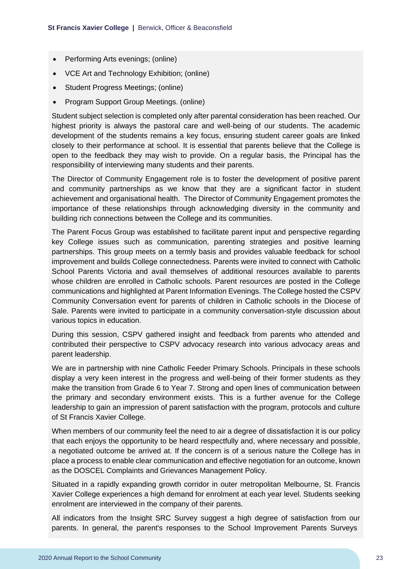- Performing Arts evenings; (online)
- VCE Art and Technology Exhibition; (online)
- Student Progress Meetings; (online)
- Program Support Group Meetings. (online)

Student subject selection is completed only after parental consideration has been reached. Our highest priority is always the pastoral care and well-being of our students. The academic development of the students remains a key focus, ensuring student career goals are linked closely to their performance at school. It is essential that parents believe that the College is open to the feedback they may wish to provide. On a regular basis, the Principal has the responsibility of interviewing many students and their parents.

The Director of Community Engagement role is to foster the development of positive parent and community partnerships as we know that they are a significant factor in student achievement and organisational health. The Director of Community Engagement promotes the importance of these relationships through acknowledging diversity in the community and building rich connections between the College and its communities.

The Parent Focus Group was established to facilitate parent input and perspective regarding key College issues such as communication, parenting strategies and positive learning partnerships. This group meets on a termly basis and provides valuable feedback for school improvement and builds College connectedness. Parents were invited to connect with Catholic School Parents Victoria and avail themselves of additional resources available to parents whose children are enrolled in Catholic schools. Parent resources are posted in the College communications and highlighted at Parent Information Evenings. The College hosted the CSPV Community Conversation event for parents of children in Catholic schools in the Diocese of Sale. Parents were invited to participate in a community conversation-style discussion about various topics in education.

During this session, CSPV gathered insight and feedback from parents who attended and contributed their perspective to CSPV advocacy research into various advocacy areas and parent leadership.

We are in partnership with nine Catholic Feeder Primary Schools. Principals in these schools display a very keen interest in the progress and well-being of their former students as they make the transition from Grade 6 to Year 7. Strong and open lines of communication between the primary and secondary environment exists. This is a further avenue for the College leadership to gain an impression of parent satisfaction with the program, protocols and culture of St Francis Xavier College.

When members of our community feel the need to air a degree of dissatisfaction it is our policy that each enjoys the opportunity to be heard respectfully and, where necessary and possible, a negotiated outcome be arrived at. If the concern is of a serious nature the College has in place a process to enable clear communication and effective negotiation for an outcome, known as the DOSCEL Complaints and Grievances Management Policy.

Situated in a rapidly expanding growth corridor in outer metropolitan Melbourne, St. Francis Xavier College experiences a high demand for enrolment at each year level. Students seeking enrolment are interviewed in the company of their parents.

All indicators from the Insight SRC Survey suggest a high degree of satisfaction from our parents. In general, the parent's responses to the School Improvement Parents Surveys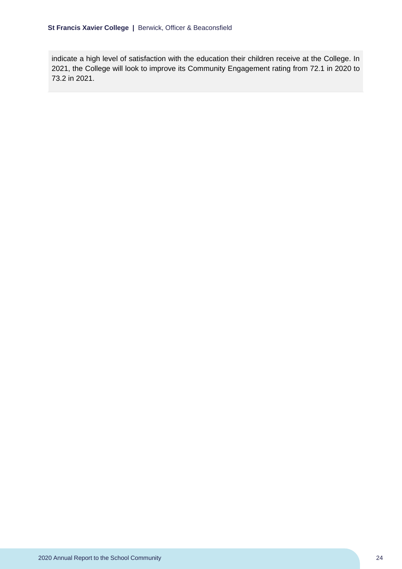indicate a high level of satisfaction with the education their children receive at the College. In 2021, the College will look to improve its Community Engagement rating from 72.1 in 2020 to 73.2 in 2021.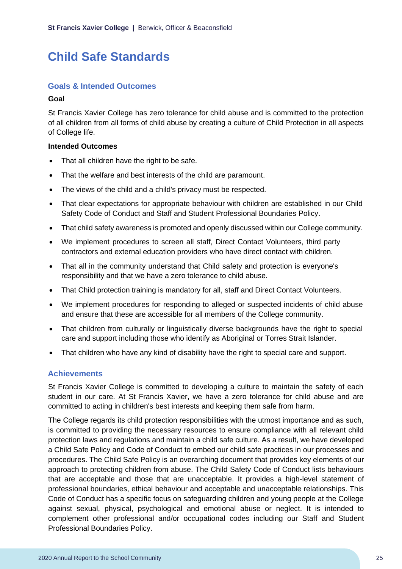## <span id="page-25-0"></span>**Child Safe Standards**

## **Goals & Intended Outcomes**

#### **Goal**

St Francis Xavier College has zero tolerance for child abuse and is committed to the protection of all children from all forms of child abuse by creating a culture of Child Protection in all aspects of College life.

#### **Intended Outcomes**

- That all children have the right to be safe.
- That the welfare and best interests of the child are paramount.
- The views of the child and a child's privacy must be respected.
- That clear expectations for appropriate behaviour with children are established in our Child Safety Code of Conduct and Staff and Student Professional Boundaries Policy.
- That child safety awareness is promoted and openly discussed within our College community.
- We implement procedures to screen all staff, Direct Contact Volunteers, third party contractors and external education providers who have direct contact with children.
- That all in the community understand that Child safety and protection is everyone's responsibility and that we have a zero tolerance to child abuse.
- That Child protection training is mandatory for all, staff and Direct Contact Volunteers.
- We implement procedures for responding to alleged or suspected incidents of child abuse and ensure that these are accessible for all members of the College community.
- That children from culturally or linguistically diverse backgrounds have the right to special care and support including those who identify as Aboriginal or Torres Strait Islander.
- That children who have any kind of disability have the right to special care and support.

## **Achievements**

St Francis Xavier College is committed to developing a culture to maintain the safety of each student in our care. At St Francis Xavier, we have a zero tolerance for child abuse and are committed to acting in children's best interests and keeping them safe from harm.

The College regards its child protection responsibilities with the utmost importance and as such, is committed to providing the necessary resources to ensure compliance with all relevant child protection laws and regulations and maintain a child safe culture. As a result, we have developed a Child Safe Policy and Code of Conduct to embed our child safe practices in our processes and procedures. The Child Safe Policy is an overarching document that provides key elements of our approach to protecting children from abuse. The Child Safety Code of Conduct lists behaviours that are acceptable and those that are unacceptable. It provides a high-level statement of professional boundaries, ethical behaviour and acceptable and unacceptable relationships. This Code of Conduct has a specific focus on safeguarding children and young people at the College against sexual, physical, psychological and emotional abuse or neglect. It is intended to complement other professional and/or occupational codes including our Staff and Student Professional Boundaries Policy.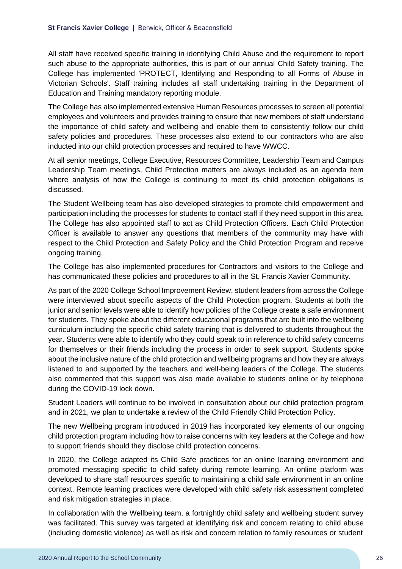All staff have received specific training in identifying Child Abuse and the requirement to report such abuse to the appropriate authorities, this is part of our annual Child Safety training. The College has implemented 'PROTECT, Identifying and Responding to all Forms of Abuse in Victorian Schools'. Staff training includes all staff undertaking training in the Department of Education and Training mandatory reporting module.

The College has also implemented extensive Human Resources processes to screen all potential employees and volunteers and provides training to ensure that new members of staff understand the importance of child safety and wellbeing and enable them to consistently follow our child safety policies and procedures. These processes also extend to our contractors who are also inducted into our child protection processes and required to have WWCC.

At all senior meetings, College Executive, Resources Committee, Leadership Team and Campus Leadership Team meetings, Child Protection matters are always included as an agenda item where analysis of how the College is continuing to meet its child protection obligations is discussed.

The Student Wellbeing team has also developed strategies to promote child empowerment and participation including the processes for students to contact staff if they need support in this area. The College has also appointed staff to act as Child Protection Officers. Each Child Protection Officer is available to answer any questions that members of the community may have with respect to the Child Protection and Safety Policy and the Child Protection Program and receive ongoing training.

The College has also implemented procedures for Contractors and visitors to the College and has communicated these policies and procedures to all in the St. Francis Xavier Community.

As part of the 2020 College School Improvement Review, student leaders from across the College were interviewed about specific aspects of the Child Protection program. Students at both the junior and senior levels were able to identify how policies of the College create a safe environment for students. They spoke about the different educational programs that are built into the wellbeing curriculum including the specific child safety training that is delivered to students throughout the year. Students were able to identify who they could speak to in reference to child safety concerns for themselves or their friends including the process in order to seek support. Students spoke about the inclusive nature of the child protection and wellbeing programs and how they are always listened to and supported by the teachers and well-being leaders of the College. The students also commented that this support was also made available to students online or by telephone during the COVID-19 lock down.

Student Leaders will continue to be involved in consultation about our child protection program and in 2021, we plan to undertake a review of the Child Friendly Child Protection Policy.

The new Wellbeing program introduced in 2019 has incorporated key elements of our ongoing child protection program including how to raise concerns with key leaders at the College and how to support friends should they disclose child protection concerns.

In 2020, the College adapted its Child Safe practices for an online learning environment and promoted messaging specific to child safety during remote learning. An online platform was developed to share staff resources specific to maintaining a child safe environment in an online context. Remote learning practices were developed with child safety risk assessment completed and risk mitigation strategies in place.

In collaboration with the Wellbeing team, a fortnightly child safety and wellbeing student survey was facilitated. This survey was targeted at identifying risk and concern relating to child abuse (including domestic violence) as well as risk and concern relation to family resources or student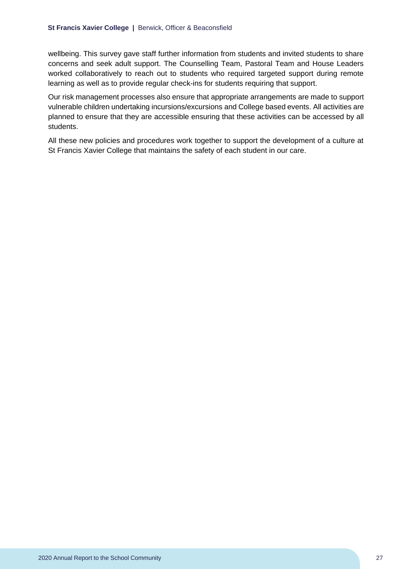wellbeing. This survey gave staff further information from students and invited students to share concerns and seek adult support. The Counselling Team, Pastoral Team and House Leaders worked collaboratively to reach out to students who required targeted support during remote learning as well as to provide regular check-ins for students requiring that support.

Our risk management processes also ensure that appropriate arrangements are made to support vulnerable children undertaking incursions/excursions and College based events. All activities are planned to ensure that they are accessible ensuring that these activities can be accessed by all students.

All these new policies and procedures work together to support the development of a culture at St Francis Xavier College that maintains the safety of each student in our care.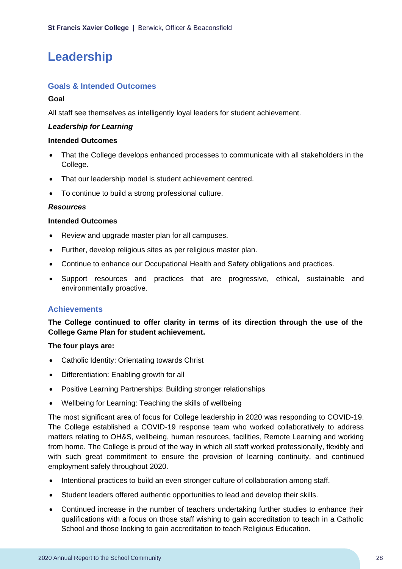## <span id="page-28-0"></span>**Leadership**

## **Goals & Intended Outcomes**

## **Goal**

All staff see themselves as intelligently loyal leaders for student achievement.

## *Leadership for Learning*

### **Intended Outcomes**

- That the College develops enhanced processes to communicate with all stakeholders in the College.
- That our leadership model is student achievement centred.
- To continue to build a strong professional culture.

## *Resources*

#### **Intended Outcomes**

- Review and upgrade master plan for all campuses.
- Further, develop religious sites as per religious master plan.
- Continue to enhance our Occupational Health and Safety obligations and practices.
- Support resources and practices that are progressive, ethical, sustainable and environmentally proactive.

## **Achievements**

**The College continued to offer clarity in terms of its direction through the use of the College Game Plan for student achievement.**

## **The four plays are:**

- Catholic Identity: Orientating towards Christ
- Differentiation: Enabling growth for all
- Positive Learning Partnerships: Building stronger relationships
- Wellbeing for Learning: Teaching the skills of wellbeing

The most significant area of focus for College leadership in 2020 was responding to COVID-19. The College established a COVID-19 response team who worked collaboratively to address matters relating to OH&S, wellbeing, human resources, facilities, Remote Learning and working from home. The College is proud of the way in which all staff worked professionally, flexibly and with such great commitment to ensure the provision of learning continuity, and continued employment safely throughout 2020.

- Intentional practices to build an even stronger culture of collaboration among staff.
- Student leaders offered authentic opportunities to lead and develop their skills.
- Continued increase in the number of teachers undertaking further studies to enhance their qualifications with a focus on those staff wishing to gain accreditation to teach in a Catholic School and those looking to gain accreditation to teach Religious Education.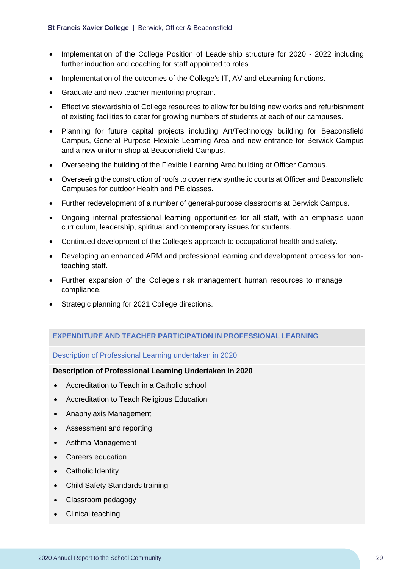- Implementation of the College Position of Leadership structure for 2020 2022 including further induction and coaching for staff appointed to roles
- Implementation of the outcomes of the College's IT, AV and eLearning functions.
- Graduate and new teacher mentoring program.
- Effective stewardship of College resources to allow for building new works and refurbishment of existing facilities to cater for growing numbers of students at each of our campuses.
- Planning for future capital projects including Art/Technology building for Beaconsfield Campus, General Purpose Flexible Learning Area and new entrance for Berwick Campus and a new uniform shop at Beaconsfield Campus.
- Overseeing the building of the Flexible Learning Area building at Officer Campus.
- Overseeing the construction of roofs to cover new synthetic courts at Officer and Beaconsfield Campuses for outdoor Health and PE classes.
- Further redevelopment of a number of general-purpose classrooms at Berwick Campus.
- Ongoing internal professional learning opportunities for all staff, with an emphasis upon curriculum, leadership, spiritual and contemporary issues for students.
- Continued development of the College's approach to occupational health and safety.
- Developing an enhanced ARM and professional learning and development process for nonteaching staff.
- Further expansion of the College's risk management human resources to manage compliance.
- Strategic planning for 2021 College directions.

#### **EXPENDITURE AND TEACHER PARTICIPATION IN PROFESSIONAL LEARNING**

#### Description of Professional Learning undertaken in 2020

#### **Description of Professional Learning Undertaken In 2020**

- Accreditation to Teach in a Catholic school
- Accreditation to Teach Religious Education
- Anaphylaxis Management
- Assessment and reporting
- Asthma Management
- Careers education
- Catholic Identity
- Child Safety Standards training
- Classroom pedagogy
- Clinical teaching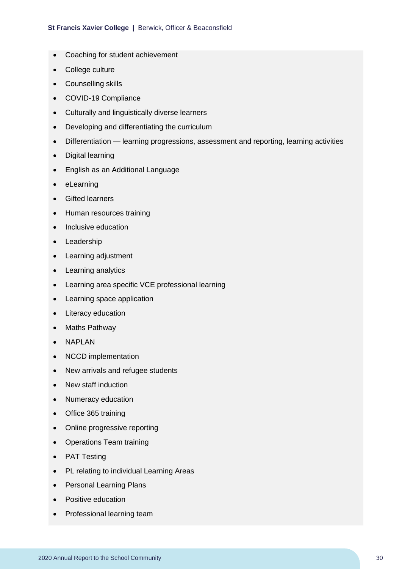- Coaching for student achievement
- College culture
- Counselling skills
- COVID-19 Compliance
- Culturally and linguistically diverse learners
- Developing and differentiating the curriculum
- Differentiation learning progressions, assessment and reporting, learning activities
- Digital learning
- English as an Additional Language
- eLearning
- Gifted learners
- Human resources training
- Inclusive education
- Leadership
- Learning adjustment
- Learning analytics
- Learning area specific VCE professional learning
- Learning space application
- Literacy education
- Maths Pathway
- NAPLAN
- NCCD implementation
- New arrivals and refugee students
- New staff induction
- Numeracy education
- Office 365 training
- Online progressive reporting
- Operations Team training
- PAT Testing
- PL relating to individual Learning Areas
- Personal Learning Plans
- Positive education
- Professional learning team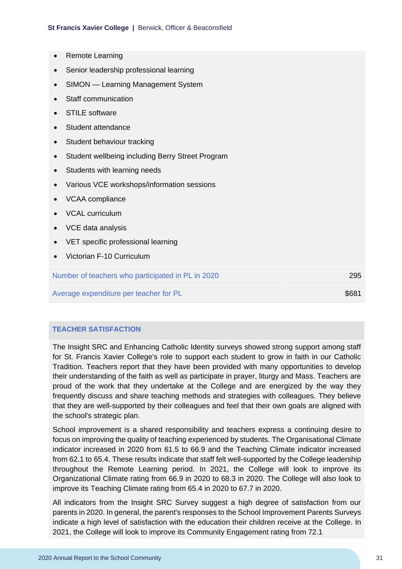- Remote Learning
- Senior leadership professional learning
- SIMON Learning Management System
- Staff communication
- STILE software
- Student attendance
- Student behaviour tracking
- Student wellbeing including Berry Street Program
- Students with learning needs
- Various VCE workshops/information sessions
- VCAA compliance
- VCAL curriculum
- VCE data analysis
- VET specific professional learning
- Victorian F-10 Curriculum

Number of teachers who participated in PL in 2020 295

Average expenditure per teacher for PL  $$681$ 

## **TEACHER SATISFACTION**

The Insight SRC and Enhancing Catholic Identity surveys showed strong support among staff for St. Francis Xavier College's role to support each student to grow in faith in our Catholic Tradition. Teachers report that they have been provided with many opportunities to develop their understanding of the faith as well as participate in prayer, liturgy and Mass. Teachers are proud of the work that they undertake at the College and are energized by the way they frequently discuss and share teaching methods and strategies with colleagues. They believe that they are well-supported by their colleagues and feel that their own goals are aligned with the school's strategic plan.

School improvement is a shared responsibility and teachers express a continuing desire to focus on improving the quality of teaching experienced by students. The Organisational Climate indicator increased in 2020 from 61.5 to 66.9 and the Teaching Climate indicator increased from 62.1 to 65.4. These results indicate that staff felt well-supported by the College leadership throughout the Remote Learning period. In 2021, the College will look to improve its Organizational Climate rating from 66.9 in 2020 to 68.3 in 2020. The College will also look to improve its Teaching Climate rating from 65.4 in 2020 to 67.7 in 2020.

All indicators from the Insight SRC Survey suggest a high degree of satisfaction from our parents in 2020. In general, the parent's responses to the School Improvement Parents Surveys indicate a high level of satisfaction with the education their children receive at the College. In 2021, the College will look to improve its Community Engagement rating from 72.1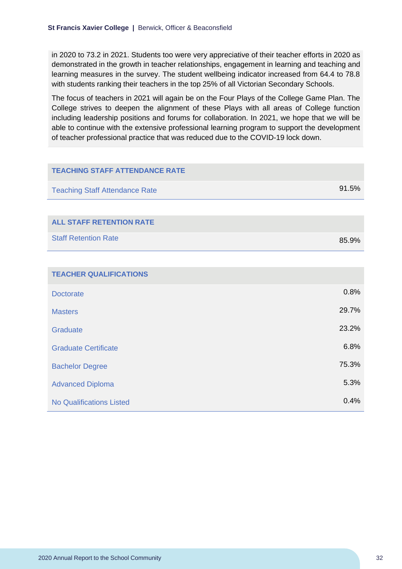in 2020 to 73.2 in 2021. Students too were very appreciative of their teacher efforts in 2020 as demonstrated in the growth in teacher relationships, engagement in learning and teaching and learning measures in the survey. The student wellbeing indicator increased from 64.4 to 78.8 with students ranking their teachers in the top 25% of all Victorian Secondary Schools.

The focus of teachers in 2021 will again be on the Four Plays of the College Game Plan. The College strives to deepen the alignment of these Plays with all areas of College function including leadership positions and forums for collaboration. In 2021, we hope that we will be able to continue with the extensive professional learning program to support the development of teacher professional practice that was reduced due to the COVID-19 lock down.

| <b>TEACHING STAFF ATTENDANCE RATE</b> |       |
|---------------------------------------|-------|
| <b>Teaching Staff Attendance Rate</b> | 91.5% |
|                                       |       |
| <b>ALL STAFF RETENTION RATE</b>       |       |
| <b>Staff Retention Rate</b>           | 85.9% |
|                                       |       |
| <b>TEACHER QUALIFICATIONS</b>         |       |
| <b>Doctorate</b>                      | 0.8%  |
| <b>Masters</b>                        | 29.7% |
| Graduate                              | 23.2% |
| <b>Graduate Certificate</b>           | 6.8%  |
| <b>Bachelor Degree</b>                | 75.3% |
| <b>Advanced Diploma</b>               | 5.3%  |
| <b>No Qualifications Listed</b>       | 0.4%  |